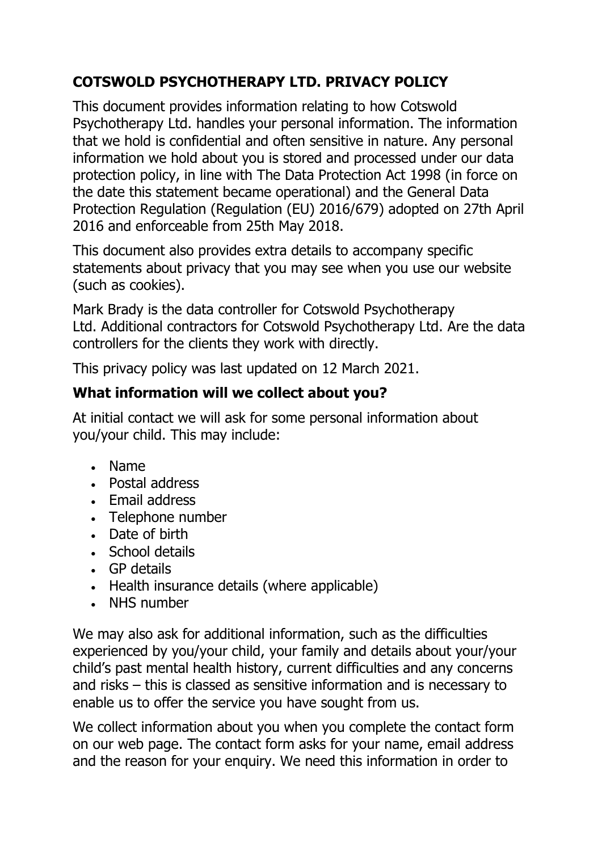# **COTSWOLD PSYCHOTHERAPY LTD. PRIVACY POLICY**

This document provides information relating to how Cotswold Psychotherapy Ltd. handles your personal information. The information that we hold is confidential and often sensitive in nature. Any personal information we hold about you is stored and processed under our data protection policy, in line with The Data Protection Act 1998 (in force on the date this statement became operational) and the General Data Protection Regulation (Regulation (EU) 2016/679) adopted on 27th April 2016 and enforceable from 25th May 2018.

This document also provides extra details to accompany specific statements about privacy that you may see when you use our website (such as cookies).

Mark Brady is the data controller for Cotswold Psychotherapy Ltd. Additional contractors for Cotswold Psychotherapy Ltd. Are the data controllers for the clients they work with directly.

This privacy policy was last updated on 12 March 2021.

#### **What information will we collect about you?**

At initial contact we will ask for some personal information about you/your child. This may include:

- Name
- Postal address
- Email address
- Telephone number
- Date of birth
- School details
- GP details
- Health insurance details (where applicable)
- NHS number

We may also ask for additional information, such as the difficulties experienced by you/your child, your family and details about your/your child's past mental health history, current difficulties and any concerns and risks – this is classed as sensitive information and is necessary to enable us to offer the service you have sought from us.

We collect information about you when you complete the contact form on our web page. The contact form asks for your name, email address and the reason for your enquiry. We need this information in order to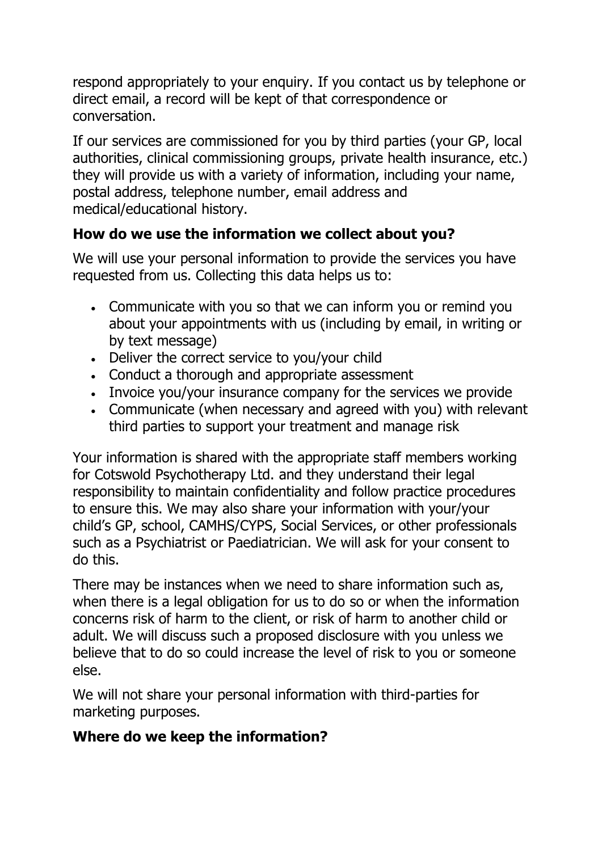respond appropriately to your enquiry. If you contact us by telephone or direct email, a record will be kept of that correspondence or conversation.

If our services are commissioned for you by third parties (your GP, local authorities, clinical commissioning groups, private health insurance, etc.) they will provide us with a variety of information, including your name, postal address, telephone number, email address and medical/educational history.

## **How do we use the information we collect about you?**

We will use your personal information to provide the services you have requested from us. Collecting this data helps us to:

- Communicate with you so that we can inform you or remind you about your appointments with us (including by email, in writing or by text message)
- Deliver the correct service to you/your child
- Conduct a thorough and appropriate assessment
- Invoice you/your insurance company for the services we provide
- Communicate (when necessary and agreed with you) with relevant third parties to support your treatment and manage risk

Your information is shared with the appropriate staff members working for Cotswold Psychotherapy Ltd. and they understand their legal responsibility to maintain confidentiality and follow practice procedures to ensure this. We may also share your information with your/your child's GP, school, CAMHS/CYPS, Social Services, or other professionals such as a Psychiatrist or Paediatrician. We will ask for your consent to do this.

There may be instances when we need to share information such as, when there is a legal obligation for us to do so or when the information concerns risk of harm to the client, or risk of harm to another child or adult. We will discuss such a proposed disclosure with you unless we believe that to do so could increase the level of risk to you or someone else.

We will not share your personal information with third-parties for marketing purposes.

## **Where do we keep the information?**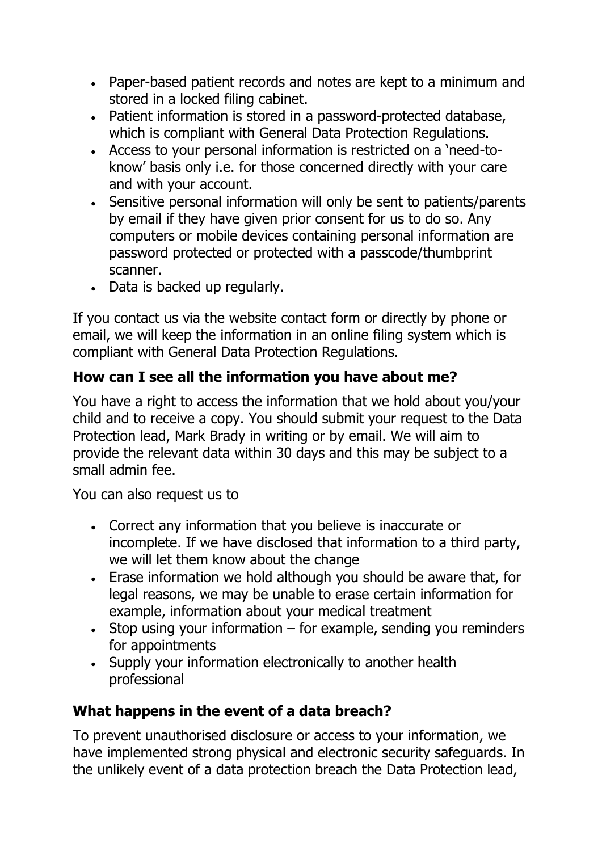- Paper-based patient records and notes are kept to a minimum and stored in a locked filing cabinet.
- Patient information is stored in a password-protected database, which is compliant with General Data Protection Regulations.
- Access to your personal information is restricted on a 'need-toknow' basis only i.e. for those concerned directly with your care and with your account.
- Sensitive personal information will only be sent to patients/parents by email if they have given prior consent for us to do so. Any computers or mobile devices containing personal information are password protected or protected with a passcode/thumbprint scanner.
- Data is backed up regularly.

If you contact us via the website contact form or directly by phone or email, we will keep the information in an online filing system which is compliant with General Data Protection Regulations.

### **How can I see all the information you have about me?**

You have a right to access the information that we hold about you/your child and to receive a copy. You should submit your request to the Data Protection lead, Mark Brady in writing or by email. We will aim to provide the relevant data within 30 days and this may be subject to a small admin fee.

You can also request us to

- Correct any information that you believe is inaccurate or incomplete. If we have disclosed that information to a third party, we will let them know about the change
- Erase information we hold although you should be aware that, for legal reasons, we may be unable to erase certain information for example, information about your medical treatment
- Stop using your information  $-$  for example, sending you reminders for appointments
- Supply your information electronically to another health professional

### **What happens in the event of a data breach?**

To prevent unauthorised disclosure or access to your information, we have implemented strong physical and electronic security safeguards. In the unlikely event of a data protection breach the Data Protection lead,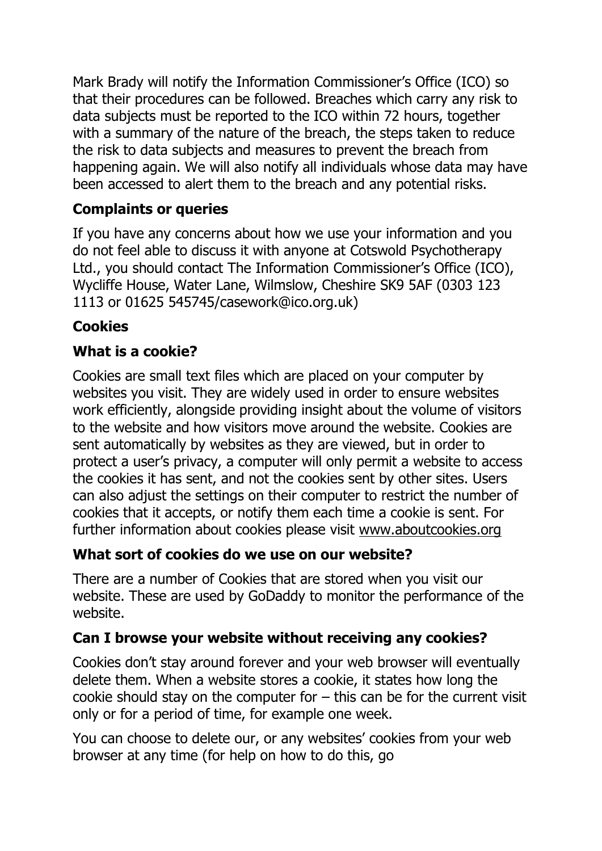Mark Brady will notify the Information Commissioner's Office (ICO) so that their procedures can be followed. Breaches which carry any risk to data subjects must be reported to the ICO within 72 hours, together with a summary of the nature of the breach, the steps taken to reduce the risk to data subjects and measures to prevent the breach from happening again. We will also notify all individuals whose data may have been accessed to alert them to the breach and any potential risks.

# **Complaints or queries**

If you have any concerns about how we use your information and you do not feel able to discuss it with anyone at Cotswold Psychotherapy Ltd., you should contact The Information Commissioner's Office (ICO), Wycliffe House, Water Lane, Wilmslow, Cheshire SK9 5AF (0303 123 1113 or 01625 545745/casework@ico.org.uk)

# **Cookies**

# **What is a cookie?**

Cookies are small text files which are placed on your computer by websites you visit. They are widely used in order to ensure websites work efficiently, alongside providing insight about the volume of visitors to the website and how visitors move around the website. Cookies are sent automatically by websites as they are viewed, but in order to protect a user's privacy, a computer will only permit a website to access the cookies it has sent, and not the cookies sent by other sites. Users can also adjust the settings on their computer to restrict the number of cookies that it accepts, or notify them each time a cookie is sent. For further information about cookies please visit www.aboutcookies.org

### **What sort of cookies do we use on our website?**

There are a number of Cookies that are stored when you visit our website. These are used by GoDaddy to monitor the performance of the website.

## **Can I browse your website without receiving any cookies?**

Cookies don't stay around forever and your web browser will eventually delete them. When a website stores a cookie, it states how long the cookie should stay on the computer for  $-$  this can be for the current visit only or for a period of time, for example one week.

You can choose to delete our, or any websites' cookies from your web browser at any time (for help on how to do this, go